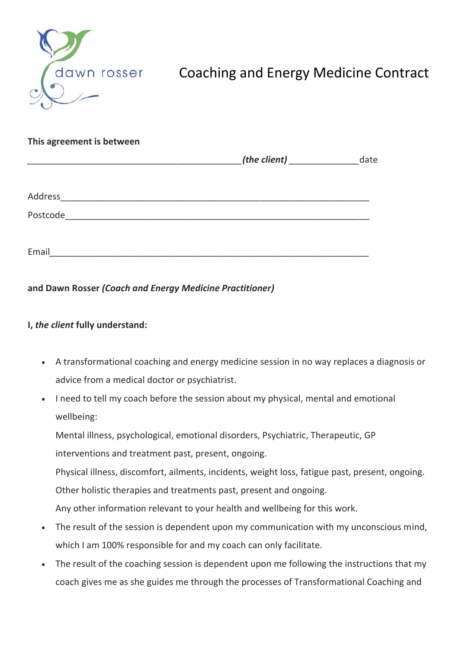

## Coaching and Energy Medicine Contract

| This agreement is between |                                         |      |
|---------------------------|-----------------------------------------|------|
|                           | (the client) $\frac{1}{2}$ (the client) | date |
|                           |                                         |      |
| Postcode                  |                                         |      |
| Email                     |                                         |      |

**and Dawn Rosser** *(Coach and Energy Medicine Practitioner)*

## **I,** *the client* **fully understand:**

- A transformational coaching and energy medicine session in no way replaces a diagnosis or advice from a medical doctor or psychiatrist.
- I need to tell my coach before the session about my physical, mental and emotional wellbeing:

Mental illness, psychological, emotional disorders, Psychiatric, Therapeutic, GP interventions and treatment past, present, ongoing.

Physical illness, discomfort, ailments, incidents, weight loss, fatigue past, present, ongoing. Other holistic therapies and treatments past, present and ongoing.

Any other information relevant to your health and wellbeing for this work.

- The result of the session is dependent upon my communication with my unconscious mind, which I am 100% responsible for and my coach can only facilitate.
- The result of the coaching session is dependent upon me following the instructions that my coach gives me as she guides me through the processes of Transformational Coaching and